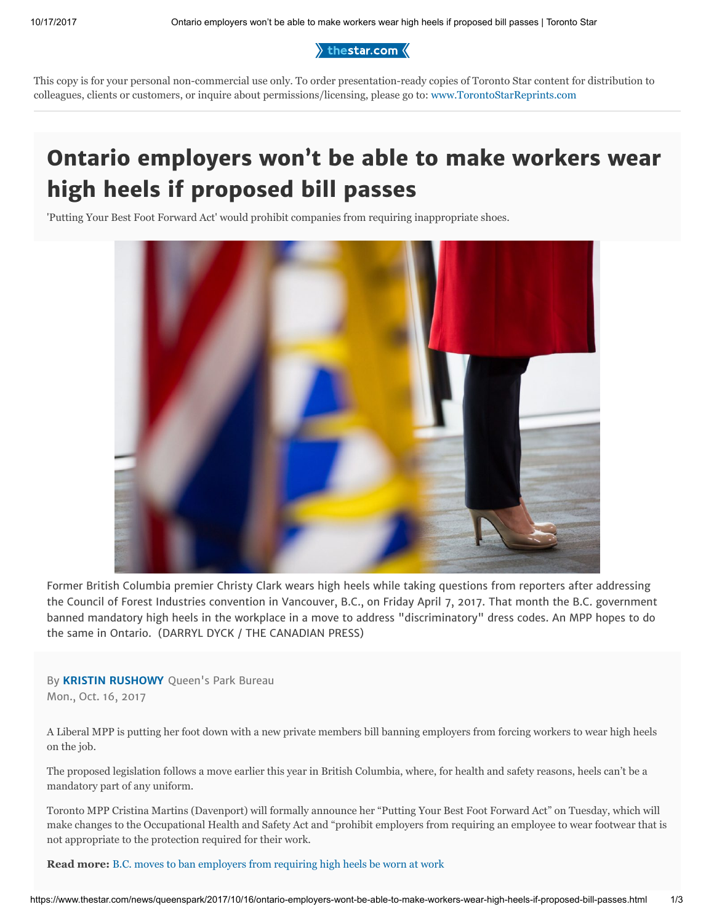$\rangle$  thestar.com  $\langle$ 

This copy is for your personal non-commercial use only. To order presentation-ready copies of Toronto Star content for distribution to colleagues, clients or customers, or inquire about permissions/licensing, please go to: [www.TorontoStarReprints.com](http://www.torontostarreprints.com/)

# Ontario employers won't be able to make workers wear high heels if proposed bill passes

'Putting Your Best Foot Forward Act' would prohibit companies from requiring inappropriate shoes.



Former British Columbia premier Christy Clark wears high heels while taking questions from reporters after addressing the Council of Forest Industries convention in Vancouver, B.C., on Friday April 7, 2017. That month the B.C. government banned mandatory high heels in the workplace in a move to address "discriminatory" dress codes. An MPP hopes to do the same in Ontario. (DARRYL DYCK / THE CANADIAN PRESS)

By [KRISTIN RUSHOWY](https://www.thestar.com/authors.rushowy_kris.html) Queen's Park Bureau Mon., Oct. 16, 2017

A Liberal MPP is putting her foot down with a new private members bill banning employers from forcing workers to wear high heels on the job.

The proposed legislation follows a move earlier this year in British Columbia, where, for health and safety reasons, heels can't be a mandatory part of any uniform.

Toronto MPP Cristina Martins (Davenport) will formally announce her "Putting Your Best Foot Forward Act" on Tuesday, which will make changes to the Occupational Health and Safety Act and "prohibit employers from requiring an employee to wear footwear that is not appropriate to the protection required for their work.

Read more: [B.C. moves to ban employers from requiring high heels be worn at work](https://www.thestar.com/business/2017/04/07/bc-government-moves-to-ban-mandatory-high-heels-in-the-workplace.html)